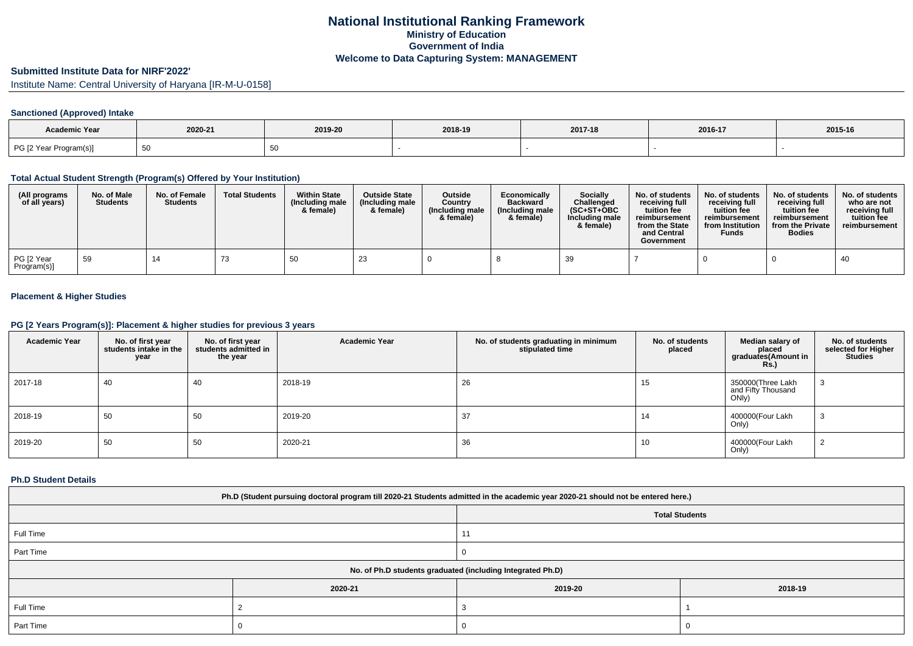## **National Institutional Ranking FrameworkMinistry of Education Government of IndiaWelcome to Data Capturing System: MANAGEMENT**

# **Submitted Institute Data for NIRF'2022'**

Institute Name: Central University of Haryana [IR-M-U-0158]

## **Sanctioned (Approved) Intake**

| <b>Academic Year</b>   | 2020-21 | 2019-20 | 2018-19 | 2017-18 | 2016-17 | 2015-16 |
|------------------------|---------|---------|---------|---------|---------|---------|
| PG [2 Year Program(s)] | ັບບ     |         |         |         |         |         |

### **Total Actual Student Strength (Program(s) Offered by Your Institution)**

| (All programs<br>of all years) | No. of Male<br><b>Students</b> | No. of Female<br><b>Students</b> | <b>Total Students</b> | <b>Within State</b><br>(Including male<br>& female) | <b>Outside State</b><br>(Including male<br>& female) | <b>Outside</b><br>Country<br>(Including male)<br>& female) | Economically<br><b>Backward</b><br>(Including male<br>& female) | Socially<br>Challenged<br>$(SC+ST+OBC)$<br>Including male<br>& female) | No. of students<br>receiving full<br>tuition fee<br>reimbursement<br>from the State<br>and Central<br>Government | No. of students<br>receiving full<br>tuition fee<br>reimbursement<br>from Institution<br><b>Funds</b> | No. of students<br>receiving full<br>tuition fee<br>reimbursement<br>from the Private<br><b>Bodies</b> | No. of students<br>who are not<br>receiving full<br>tuition fee<br>reimbursement |
|--------------------------------|--------------------------------|----------------------------------|-----------------------|-----------------------------------------------------|------------------------------------------------------|------------------------------------------------------------|-----------------------------------------------------------------|------------------------------------------------------------------------|------------------------------------------------------------------------------------------------------------------|-------------------------------------------------------------------------------------------------------|--------------------------------------------------------------------------------------------------------|----------------------------------------------------------------------------------|
| PG [2 Year<br>Program(s)]      | 59                             | 14                               | د ،                   | 50                                                  | 23                                                   |                                                            |                                                                 | 39                                                                     |                                                                                                                  |                                                                                                       |                                                                                                        | 40                                                                               |

## **Placement & Higher Studies**

### **PG [2 Years Program(s)]: Placement & higher studies for previous 3 years**

| <b>Academic Year</b> | No. of first year<br>students intake in the<br>year | No. of first year<br>students admitted in<br>the year | <b>Academic Year</b> | No. of students graduating in minimum<br>stipulated time | No. of students<br>placed | Median salary of<br>placed<br>graduates(Amount in<br><b>Rs.)</b> | No. of students<br>selected for Higher<br><b>Studies</b> |
|----------------------|-----------------------------------------------------|-------------------------------------------------------|----------------------|----------------------------------------------------------|---------------------------|------------------------------------------------------------------|----------------------------------------------------------|
| 2017-18              | 40                                                  | 40                                                    | 2018-19              | 26                                                       | 15                        | 350000(Three Lakh<br>and Fifty Thousand<br>ONly)                 | دت                                                       |
| 2018-19              | 50                                                  | 50                                                    | 2019-20              | 37                                                       | 14                        | 400000(Four Lakh<br>Only)                                        | ۰J                                                       |
| 2019-20              | 50                                                  | 50                                                    | 2020-21              | 36                                                       | 10                        | 400000(Four Lakh<br>Only)                                        | ▵                                                        |

### **Ph.D Student Details**

| Ph.D (Student pursuing doctoral program till 2020-21 Students admitted in the academic year 2020-21 should not be entered here.) |         |                       |         |  |  |  |
|----------------------------------------------------------------------------------------------------------------------------------|---------|-----------------------|---------|--|--|--|
|                                                                                                                                  |         | <b>Total Students</b> |         |  |  |  |
| Full Time                                                                                                                        |         |                       |         |  |  |  |
| Part Time                                                                                                                        |         |                       |         |  |  |  |
| No. of Ph.D students graduated (including Integrated Ph.D)                                                                       |         |                       |         |  |  |  |
|                                                                                                                                  | 2020-21 | 2019-20               | 2018-19 |  |  |  |
| Full Time                                                                                                                        |         |                       |         |  |  |  |
| Part Time                                                                                                                        |         |                       |         |  |  |  |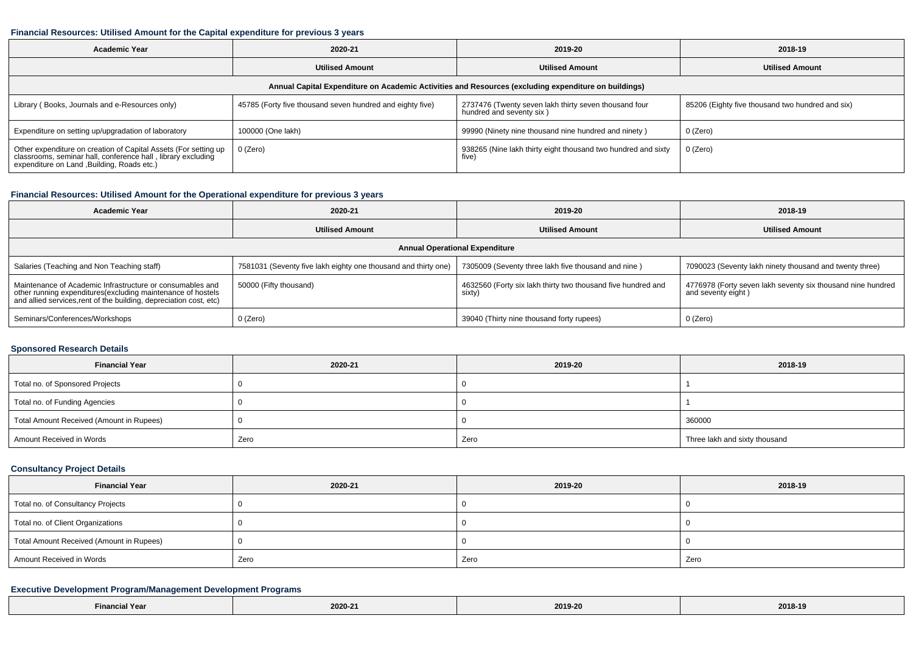#### **Financial Resources: Utilised Amount for the Capital expenditure for previous 3 years**

| <b>Academic Year</b>                                                                                                                                                           | 2020-21                                                   | 2019-20                                                                           | 2018-19                                          |  |  |  |  |  |
|--------------------------------------------------------------------------------------------------------------------------------------------------------------------------------|-----------------------------------------------------------|-----------------------------------------------------------------------------------|--------------------------------------------------|--|--|--|--|--|
|                                                                                                                                                                                | <b>Utilised Amount</b>                                    | <b>Utilised Amount</b>                                                            | <b>Utilised Amount</b>                           |  |  |  |  |  |
| Annual Capital Expenditure on Academic Activities and Resources (excluding expenditure on buildings)                                                                           |                                                           |                                                                                   |                                                  |  |  |  |  |  |
| Library (Books, Journals and e-Resources only)                                                                                                                                 | 45785 (Forty five thousand seven hundred and eighty five) | 2737476 (Twenty seven lakh thirty seven thousand four<br>hundred and seventy six) | 85206 (Eighty five thousand two hundred and six) |  |  |  |  |  |
| Expenditure on setting up/upgradation of laboratory                                                                                                                            | 100000 (One lakh)                                         | 99990 (Ninety nine thousand nine hundred and ninety)                              | 0 (Zero)                                         |  |  |  |  |  |
| Other expenditure on creation of Capital Assets (For setting up<br>classrooms, seminar hall, conference hall, library excluding<br>expenditure on Land , Building, Roads etc.) | 0 (Zero)                                                  | 938265 (Nine lakh thirty eight thousand two hundred and sixty<br>five)            | 0 (Zero)                                         |  |  |  |  |  |

## **Financial Resources: Utilised Amount for the Operational expenditure for previous 3 years**

| <b>Academic Year</b>                                                                                                                                                                            | 2020-21                                                        | 2019-20                                                                | 2018-19                                                                           |  |  |  |  |  |
|-------------------------------------------------------------------------------------------------------------------------------------------------------------------------------------------------|----------------------------------------------------------------|------------------------------------------------------------------------|-----------------------------------------------------------------------------------|--|--|--|--|--|
|                                                                                                                                                                                                 | <b>Utilised Amount</b>                                         | <b>Utilised Amount</b>                                                 | <b>Utilised Amount</b>                                                            |  |  |  |  |  |
| <b>Annual Operational Expenditure</b>                                                                                                                                                           |                                                                |                                                                        |                                                                                   |  |  |  |  |  |
| Salaries (Teaching and Non Teaching staff)                                                                                                                                                      | 7581031 (Seventy five lakh eighty one thousand and thirty one) | 7305009 (Seventy three lakh five thousand and nine)                    | 7090023 (Seventy lakh ninety thousand and twenty three)                           |  |  |  |  |  |
| Maintenance of Academic Infrastructure or consumables and<br>other running expenditures (excluding maintenance of hostels<br>and allied services, rent of the building, depreciation cost, etc) | 50000 (Fifty thousand)                                         | 4632560 (Forty six lakh thirty two thousand five hundred and<br>sixty) | 4776978 (Forty seven lakh seventy six thousand nine hundred<br>and seventy eight) |  |  |  |  |  |
| Seminars/Conferences/Workshops                                                                                                                                                                  | $0$ (Zero)                                                     | 39040 (Thirty nine thousand forty rupees)                              | 0 (Zero)                                                                          |  |  |  |  |  |

### **Sponsored Research Details**

| <b>Financial Year</b>                    | 2020-21 | 2019-20 | 2018-19                       |  |
|------------------------------------------|---------|---------|-------------------------------|--|
| Total no. of Sponsored Projects          |         |         |                               |  |
| Total no. of Funding Agencies            |         |         |                               |  |
| Total Amount Received (Amount in Rupees) |         |         | 360000                        |  |
| Amount Received in Words                 | Zero    | Zero    | Three lakh and sixty thousand |  |

## **Consultancy Project Details**

| <b>Financial Year</b>                    | 2020-21 | 2019-20 | 2018-19 |
|------------------------------------------|---------|---------|---------|
| Total no. of Consultancy Projects        |         |         |         |
| Total no. of Client Organizations        |         |         |         |
| Total Amount Received (Amount in Rupees) |         |         |         |
| Amount Received in Words                 | Zero    | Zero    | Zero    |

## **Executive Development Program/Management Development Programs**

| l Yeal<br><b>Financial</b> | 2020-2 | 2019-20<br>. | 2018-19<br>_____ |
|----------------------------|--------|--------------|------------------|
|----------------------------|--------|--------------|------------------|